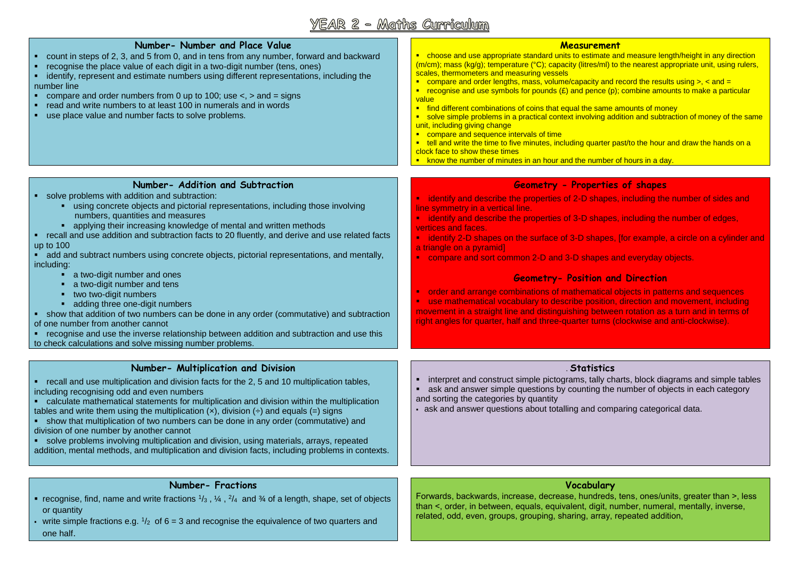## YEAR 2 - Maths Curriculum

| Number- Number and Place Value<br>• count in steps of 2, 3, and 5 from 0, and in tens from any number, forward and backward<br>recognise the place value of each digit in a two-digit number (tens, ones)<br>• identify, represent and estimate numbers using different representations, including the<br>number line<br>• compare and order numbers from 0 up to 100; use $\lt$ , $>$ and = signs<br>read and write numbers to at least 100 in numerals and in words<br>use place value and number facts to solve problems.                                                                                                                                                                                                                                                                                                                                                                                                                        | Measurement<br>choose and use appropriate standard units to estimate and measure length/height in any direction<br>$(m/cm)$ ; mass $(kg/g)$ ; temperature $(^{\circ}C)$ ; capacity (litres/ml) to the nearest appropriate unit, using rulers,<br>scales, thermometers and measuring vessels<br>compare and order lengths, mass, volume/capacity and record the results using $>$ , < and =<br><b>•</b> recognise and use symbols for pounds $(E)$ and pence $(p)$ ; combine amounts to make a particular<br>value<br>" find different combinations of coins that equal the same amounts of money<br>solve simple problems in a practical context involving addition and subtraction of money of the same<br>unit, including giving change<br>compare and sequence intervals of time<br>• tell and write the time to five minutes, including quarter past/to the hour and draw the hands on a<br>clock face to show these times<br><b>E</b> know the number of minutes in an hour and the number of hours in a day. |
|-----------------------------------------------------------------------------------------------------------------------------------------------------------------------------------------------------------------------------------------------------------------------------------------------------------------------------------------------------------------------------------------------------------------------------------------------------------------------------------------------------------------------------------------------------------------------------------------------------------------------------------------------------------------------------------------------------------------------------------------------------------------------------------------------------------------------------------------------------------------------------------------------------------------------------------------------------|--------------------------------------------------------------------------------------------------------------------------------------------------------------------------------------------------------------------------------------------------------------------------------------------------------------------------------------------------------------------------------------------------------------------------------------------------------------------------------------------------------------------------------------------------------------------------------------------------------------------------------------------------------------------------------------------------------------------------------------------------------------------------------------------------------------------------------------------------------------------------------------------------------------------------------------------------------------------------------------------------------------------|
| Number- Addition and Subtraction<br>• solve problems with addition and subtraction:<br>" using concrete objects and pictorial representations, including those involving<br>numbers, quantities and measures<br>• applying their increasing knowledge of mental and written methods<br>• recall and use addition and subtraction facts to 20 fluently, and derive and use related facts<br>up to 100<br>• add and subtract numbers using concrete objects, pictorial representations, and mentally,<br>including:<br>a two-digit number and ones<br>a two-digit number and tens<br>п.<br>two two-digit numbers<br>٠<br>adding three one-digit numbers<br>٠<br>show that addition of two numbers can be done in any order (commutative) and subtraction<br>of one number from another cannot<br>recognise and use the inverse relationship between addition and subtraction and use this<br>to check calculations and solve missing number problems. | <b>Geometry - Properties of shapes</b><br>• identify and describe the properties of 2-D shapes, including the number of sides and<br>line symmetry in a vertical line.<br>• identify and describe the properties of 3-D shapes, including the number of edges,<br>vertices and faces.<br>• identify 2-D shapes on the surface of 3-D shapes, [for example, a circle on a cylinder and<br>a triangle on a pyramid]<br>• compare and sort common 2-D and 3-D shapes and everyday objects.<br><b>Geometry- Position and Direction</b><br>• order and arrange combinations of mathematical objects in patterns and sequences<br>" use mathematical vocabulary to describe position, direction and movement, including<br>movement in a straight line and distinguishing between rotation as a turn and in terms of<br>right angles for quarter, half and three-quarter turns (clockwise and anti-clockwise).                                                                                                           |
| Number- Multiplication and Division<br>• recall and use multiplication and division facts for the 2, 5 and 10 multiplication tables,<br>including recognising odd and even numbers<br>• calculate mathematical statements for multiplication and division within the multiplication<br>tables and write them using the multiplication $(x)$ , division $\left(\div\right)$ and equals $\left(=\right)$ signs<br>• show that multiplication of two numbers can be done in any order (commutative) and<br>division of one number by another cannot<br>• solve problems involving multiplication and division, using materials, arrays, repeated<br>addition, mental methods, and multiplication and division facts, including problems in contexts.                                                                                                                                                                                                   | <b>Statistics</b><br>• interpret and construct simple pictograms, tally charts, block diagrams and simple tables<br>• ask and answer simple questions by counting the number of objects in each category<br>and sorting the categories by quantity<br>- ask and answer questions about totalling and comparing categorical data.                                                                                                                                                                                                                                                                                                                                                                                                                                                                                                                                                                                                                                                                                   |
| <b>Number-Fractions</b><br>• recognise, find, name and write fractions $1/3$ , $1/4$ , $2/4$ and $3/4$ of a length, shape, set of objects<br>or quantity                                                                                                                                                                                                                                                                                                                                                                                                                                                                                                                                                                                                                                                                                                                                                                                            | Vocabulary<br>Forwards, backwards, increase, decrease, hundreds, tens, ones/units, greater than >, less<br>than <, order, in between, equals, equivalent, digit, number, numeral, mentally, inverse,                                                                                                                                                                                                                                                                                                                                                                                                                                                                                                                                                                                                                                                                                                                                                                                                               |

• write simple fractions e.g.  $1/2$  of  $6 = 3$  and recognise the equivalence of two quarters and one half.

related, odd, even, groups, grouping, sharing, array, repeated addition,